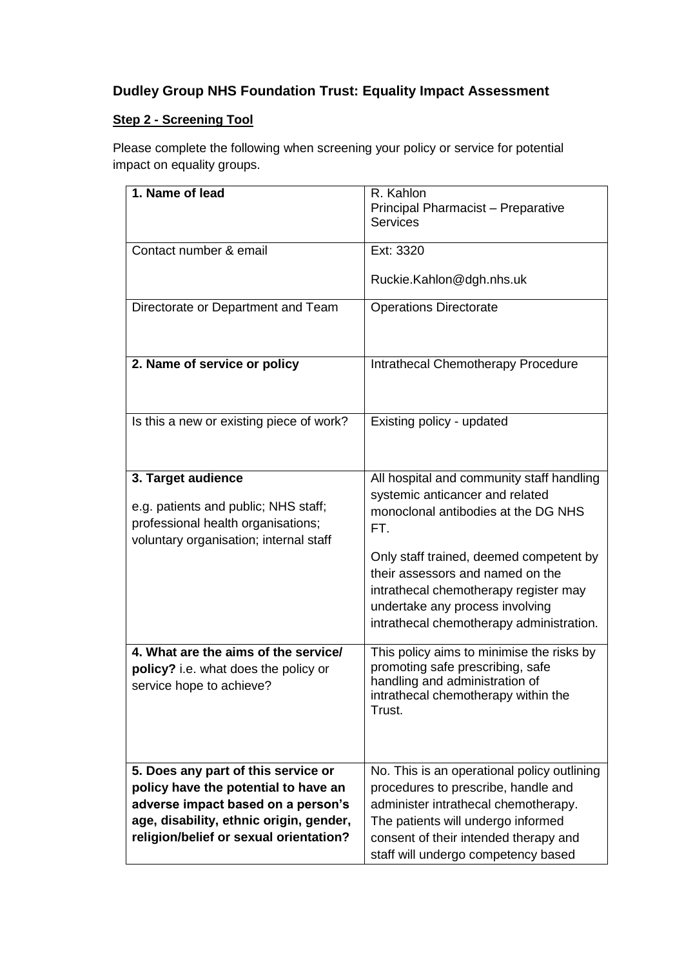## **Dudley Group NHS Foundation Trust: Equality Impact Assessment**

## **Step 2 - Screening Tool**

Please complete the following when screening your policy or service for potential impact on equality groups.

| 1. Name of lead                                                                                                                            | R. Kahlon<br>Principal Pharmacist - Preparative                                                                                                                                                     |
|--------------------------------------------------------------------------------------------------------------------------------------------|-----------------------------------------------------------------------------------------------------------------------------------------------------------------------------------------------------|
|                                                                                                                                            | <b>Services</b>                                                                                                                                                                                     |
| Contact number & email                                                                                                                     | Ext: 3320                                                                                                                                                                                           |
|                                                                                                                                            | Ruckie.Kahlon@dgh.nhs.uk                                                                                                                                                                            |
| Directorate or Department and Team                                                                                                         | <b>Operations Directorate</b>                                                                                                                                                                       |
| 2. Name of service or policy                                                                                                               | Intrathecal Chemotherapy Procedure                                                                                                                                                                  |
| Is this a new or existing piece of work?                                                                                                   | Existing policy - updated                                                                                                                                                                           |
| 3. Target audience<br>e.g. patients and public; NHS staff;<br>professional health organisations;<br>voluntary organisation; internal staff | All hospital and community staff handling<br>systemic anticancer and related<br>monoclonal antibodies at the DG NHS<br>FT.                                                                          |
|                                                                                                                                            | Only staff trained, deemed competent by<br>their assessors and named on the<br>intrathecal chemotherapy register may<br>undertake any process involving<br>intrathecal chemotherapy administration. |
| 4. What are the aims of the service/<br>policy? i.e. what does the policy or<br>service hope to achieve?                                   | This policy aims to minimise the risks by<br>promoting safe prescribing, safe<br>handling and administration of<br>intrathecal chemotherapy within the<br>Trust.                                    |
| 5. Does any part of this service or                                                                                                        | No. This is an operational policy outlining                                                                                                                                                         |
| policy have the potential to have an                                                                                                       | procedures to prescribe, handle and                                                                                                                                                                 |
| adverse impact based on a person's                                                                                                         | administer intrathecal chemotherapy.                                                                                                                                                                |
| age, disability, ethnic origin, gender,                                                                                                    | The patients will undergo informed                                                                                                                                                                  |
| religion/belief or sexual orientation?                                                                                                     | consent of their intended therapy and<br>staff will undergo competency based                                                                                                                        |